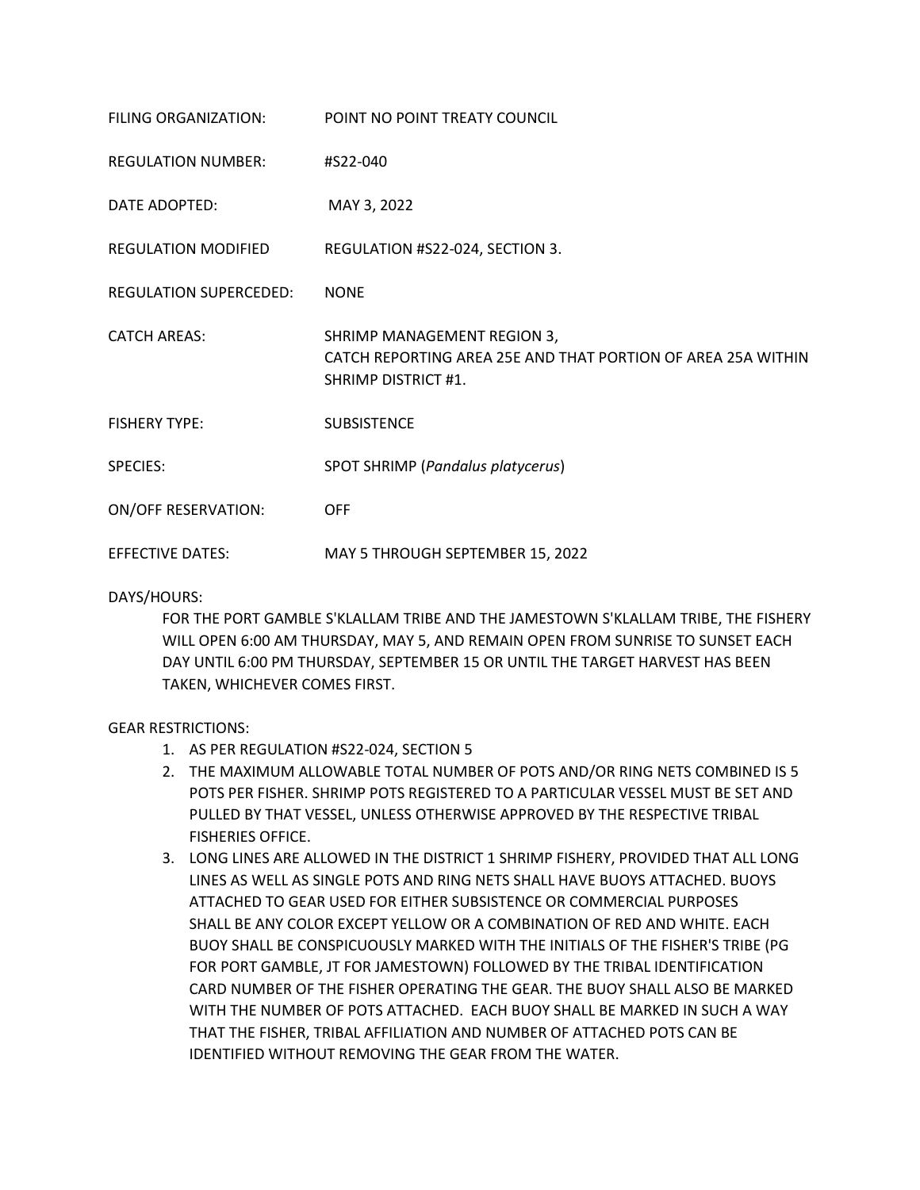| FILING ORGANIZATION:          | POINT NO POINT TREATY COUNCIL                                                                                      |
|-------------------------------|--------------------------------------------------------------------------------------------------------------------|
| <b>REGULATION NUMBER:</b>     | #S22-040                                                                                                           |
| DATE ADOPTED:                 | MAY 3, 2022                                                                                                        |
| <b>REGULATION MODIFIED</b>    | REGULATION #S22-024, SECTION 3.                                                                                    |
| <b>REGULATION SUPERCEDED:</b> | <b>NONE</b>                                                                                                        |
| <b>CATCH AREAS:</b>           | SHRIMP MANAGEMENT REGION 3,<br>CATCH REPORTING AREA 25E AND THAT PORTION OF AREA 25A WITHIN<br>SHRIMP DISTRICT #1. |
| <b>FISHERY TYPE:</b>          | <b>SUBSISTENCE</b>                                                                                                 |
| <b>SPECIES:</b>               | SPOT SHRIMP (Pandalus platycerus)                                                                                  |
| <b>ON/OFF RESERVATION:</b>    | <b>OFF</b>                                                                                                         |
| <b>EFFECTIVE DATES:</b>       | MAY 5 THROUGH SEPTEMBER 15, 2022                                                                                   |

DAYS/HOURS:

FOR THE PORT GAMBLE S'KLALLAM TRIBE AND THE JAMESTOWN S'KLALLAM TRIBE, THE FISHERY WILL OPEN 6:00 AM THURSDAY, MAY 5, AND REMAIN OPEN FROM SUNRISE TO SUNSET EACH DAY UNTIL 6:00 PM THURSDAY, SEPTEMBER 15 OR UNTIL THE TARGET HARVEST HAS BEEN TAKEN, WHICHEVER COMES FIRST.

## GEAR RESTRICTIONS:

- 1. AS PER REGULATION #S22-024, SECTION 5
- 2. THE MAXIMUM ALLOWABLE TOTAL NUMBER OF POTS AND/OR RING NETS COMBINED IS 5 POTS PER FISHER. SHRIMP POTS REGISTERED TO A PARTICULAR VESSEL MUST BE SET AND PULLED BY THAT VESSEL, UNLESS OTHERWISE APPROVED BY THE RESPECTIVE TRIBAL FISHERIES OFFICE.
- 3. LONG LINES ARE ALLOWED IN THE DISTRICT 1 SHRIMP FISHERY, PROVIDED THAT ALL LONG LINES AS WELL AS SINGLE POTS AND RING NETS SHALL HAVE BUOYS ATTACHED. BUOYS ATTACHED TO GEAR USED FOR EITHER SUBSISTENCE OR COMMERCIAL PURPOSES SHALL BE ANY COLOR EXCEPT YELLOW OR A COMBINATION OF RED AND WHITE. EACH BUOY SHALL BE CONSPICUOUSLY MARKED WITH THE INITIALS OF THE FISHER'S TRIBE (PG FOR PORT GAMBLE, JT FOR JAMESTOWN) FOLLOWED BY THE TRIBAL IDENTIFICATION CARD NUMBER OF THE FISHER OPERATING THE GEAR. THE BUOY SHALL ALSO BE MARKED WITH THE NUMBER OF POTS ATTACHED. EACH BUOY SHALL BE MARKED IN SUCH A WAY THAT THE FISHER, TRIBAL AFFILIATION AND NUMBER OF ATTACHED POTS CAN BE IDENTIFIED WITHOUT REMOVING THE GEAR FROM THE WATER.